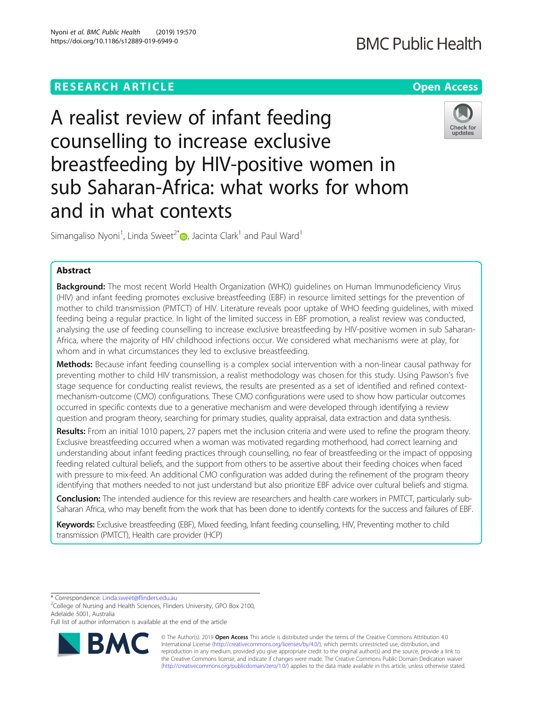# **BMC Public Health**

## **RESEARCH ARTICLE Example 2018 12:30 THE OPEN ACCESS**



A realist review of infant feeding counselling to increase exclusive breastfeeding by HIV-positive women in sub Saharan-Africa: what works for whom and in what contexts

Simangaliso Nyoni<sup>1</sup>[,](http://orcid.org/0000-0003-0605-1186) Linda Sweet<sup>2\*</sup> $\bullet$ , Jacinta Clark<sup>1</sup> and Paul Ward<sup>1</sup>

### Abstract

Background: The most recent World Health Organization (WHO) quidelines on Human Immunodeficiency Virus (HIV) and infant feeding promotes exclusive breastfeeding (EBF) in resource limited settings for the prevention of mother to child transmission (PMTCT) of HIV. Literature reveals poor uptake of WHO feeding guidelines, with mixed feeding being a regular practice. In light of the limited success in EBF promotion, a realist review was conducted, analysing the use of feeding counselling to increase exclusive breastfeeding by HIV-positive women in sub Saharan-Africa, where the majority of HIV childhood infections occur. We considered what mechanisms were at play, for whom and in what circumstances they led to exclusive breastfeeding.

Methods: Because infant feeding counselling is a complex social intervention with a non-linear causal pathway for preventing mother to child HIV transmission, a realist methodology was chosen for this study. Using Pawson's five stage sequence for conducting realist reviews, the results are presented as a set of identified and refined contextmechanism-outcome (CMO) configurations. These CMO configurations were used to show how particular outcomes occurred in specific contexts due to a generative mechanism and were developed through identifying a review question and program theory, searching for primary studies, quality appraisal, data extraction and data synthesis.

Results: From an initial 1010 papers, 27 papers met the inclusion criteria and were used to refine the program theory. Exclusive breastfeeding occurred when a woman was motivated regarding motherhood, had correct learning and understanding about infant feeding practices through counselling, no fear of breastfeeding or the impact of opposing feeding related cultural beliefs, and the support from others to be assertive about their feeding choices when faced with pressure to mix-feed. An additional CMO configuration was added during the refinement of the program theory identifying that mothers needed to not just understand but also prioritize EBF advice over cultural beliefs and stigma.

Conclusion: The intended audience for this review are researchers and health care workers in PMTCT, particularly sub-Saharan Africa, who may benefit from the work that has been done to identify contexts for the success and failures of EBF.

Keywords: Exclusive breastfeeding (EBF), Mixed feeding, Infant feeding counselling, HIV, Preventing mother to child transmission (PMTCT), Health care provider (HCP)

\* Correspondence: [Linda.sweet@flinders.edu.au](mailto:Linda.sweet@flinders.edu.au) <sup>2</sup>

<sup>2</sup>College of Nursing and Health Sciences, Flinders University, GPO Box 2100, Adelaide 5001, Australia

Full list of author information is available at the end of the article



© The Author(s). 2019 **Open Access** This article is distributed under the terms of the Creative Commons Attribution 4.0 International License [\(http://creativecommons.org/licenses/by/4.0/](http://creativecommons.org/licenses/by/4.0/)), which permits unrestricted use, distribution, and reproduction in any medium, provided you give appropriate credit to the original author(s) and the source, provide a link to the Creative Commons license, and indicate if changes were made. The Creative Commons Public Domain Dedication waiver [\(http://creativecommons.org/publicdomain/zero/1.0/](http://creativecommons.org/publicdomain/zero/1.0/)) applies to the data made available in this article, unless otherwise stated.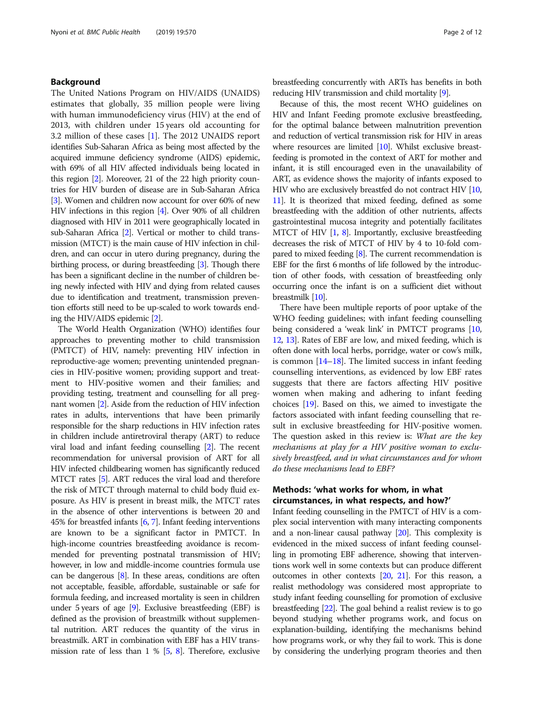#### Background

The United Nations Program on HIV/AIDS (UNAIDS) estimates that globally, 35 million people were living with human immunodeficiency virus (HIV) at the end of 2013, with children under 15 years old accounting for 3.2 million of these cases [\[1](#page-10-0)]. The 2012 UNAIDS report identifies Sub-Saharan Africa as being most affected by the acquired immune deficiency syndrome (AIDS) epidemic, with 69% of all HIV affected individuals being located in this region [\[2](#page-10-0)]. Moreover, 21 of the 22 high priority countries for HIV burden of disease are in Sub-Saharan Africa [[3](#page-10-0)]. Women and children now account for over 60% of new HIV infections in this region [[4](#page-10-0)]. Over 90% of all children diagnosed with HIV in 2011 were geographically located in sub-Saharan Africa [\[2](#page-10-0)]. Vertical or mother to child transmission (MTCT) is the main cause of HIV infection in children, and can occur in utero during pregnancy, during the birthing process, or during breastfeeding [\[3](#page-10-0)]. Though there has been a significant decline in the number of children being newly infected with HIV and dying from related causes due to identification and treatment, transmission prevention efforts still need to be up-scaled to work towards ending the HIV/AIDS epidemic [\[2\]](#page-10-0).

The World Health Organization (WHO) identifies four approaches to preventing mother to child transmission (PMTCT) of HIV, namely: preventing HIV infection in reproductive-age women; preventing unintended pregnancies in HIV-positive women; providing support and treatment to HIV-positive women and their families; and providing testing, treatment and counselling for all pregnant women [[2\]](#page-10-0). Aside from the reduction of HIV infection rates in adults, interventions that have been primarily responsible for the sharp reductions in HIV infection rates in children include antiretroviral therapy (ART) to reduce viral load and infant feeding counselling [\[2\]](#page-10-0). The recent recommendation for universal provision of ART for all HIV infected childbearing women has significantly reduced MTCT rates [\[5\]](#page-10-0). ART reduces the viral load and therefore the risk of MTCT through maternal to child body fluid exposure. As HIV is present in breast milk, the MTCT rates in the absence of other interventions is between 20 and 45% for breastfed infants [[6,](#page-10-0) [7\]](#page-10-0). Infant feeding interventions are known to be a significant factor in PMTCT. In high-income countries breastfeeding avoidance is recommended for preventing postnatal transmission of HIV; however, in low and middle-income countries formula use can be dangerous  $[8]$  $[8]$ . In these areas, conditions are often not acceptable, feasible, affordable, sustainable or safe for formula feeding, and increased mortality is seen in children under 5 years of age [\[9\]](#page-10-0). Exclusive breastfeeding (EBF) is defined as the provision of breastmilk without supplemental nutrition. ART reduces the quantity of the virus in breastmilk. ART in combination with EBF has a HIV transmission rate of less than  $1 \%$  [\[5](#page-10-0), [8](#page-10-0)]. Therefore, exclusive breastfeeding concurrently with ARTs has benefits in both reducing HIV transmission and child mortality [[9\]](#page-10-0).

Because of this, the most recent WHO guidelines on HIV and Infant Feeding promote exclusive breastfeeding, for the optimal balance between malnutrition prevention and reduction of vertical transmission risk for HIV in areas where resources are limited [\[10](#page-10-0)]. Whilst exclusive breastfeeding is promoted in the context of ART for mother and infant, it is still encouraged even in the unavailability of ART, as evidence shows the majority of infants exposed to HIV who are exclusively breastfed do not contract HIV [\[10](#page-10-0), [11](#page-10-0)]. It is theorized that mixed feeding, defined as some breastfeeding with the addition of other nutrients, affects gastrointestinal mucosa integrity and potentially facilitates MTCT of HIV [[1](#page-10-0), [8\]](#page-10-0). Importantly, exclusive breastfeeding decreases the risk of MTCT of HIV by 4 to 10-fold compared to mixed feeding [[8](#page-10-0)]. The current recommendation is EBF for the first 6 months of life followed by the introduction of other foods, with cessation of breastfeeding only occurring once the infant is on a sufficient diet without breastmilk [\[10\]](#page-10-0).

There have been multiple reports of poor uptake of the WHO feeding guidelines; with infant feeding counselling being considered a 'weak link' in PMTCT programs [[10](#page-10-0), [12](#page-10-0), [13](#page-10-0)]. Rates of EBF are low, and mixed feeding, which is often done with local herbs, porridge, water or cow's milk, is common  $[14–18]$  $[14–18]$  $[14–18]$  $[14–18]$ . The limited success in infant feeding counselling interventions, as evidenced by low EBF rates suggests that there are factors affecting HIV positive women when making and adhering to infant feeding choices [\[19\]](#page-10-0). Based on this, we aimed to investigate the factors associated with infant feeding counselling that result in exclusive breastfeeding for HIV-positive women. The question asked in this review is: What are the key mechanisms at play for a HIV positive woman to exclusively breastfeed, and in what circumstances and for whom do these mechanisms lead to EBF?

### Methods: 'what works for whom, in what circumstances, in what respects, and how?'

Infant feeding counselling in the PMTCT of HIV is a complex social intervention with many interacting components and a non-linear causal pathway [[20](#page-10-0)]. This complexity is evidenced in the mixed success of infant feeding counselling in promoting EBF adherence, showing that interventions work well in some contexts but can produce different outcomes in other contexts [[20,](#page-10-0) [21](#page-10-0)]. For this reason, a realist methodology was considered most appropriate to study infant feeding counselling for promotion of exclusive breastfeeding [[22\]](#page-10-0). The goal behind a realist review is to go beyond studying whether programs work, and focus on explanation-building, identifying the mechanisms behind how programs work, or why they fail to work. This is done by considering the underlying program theories and then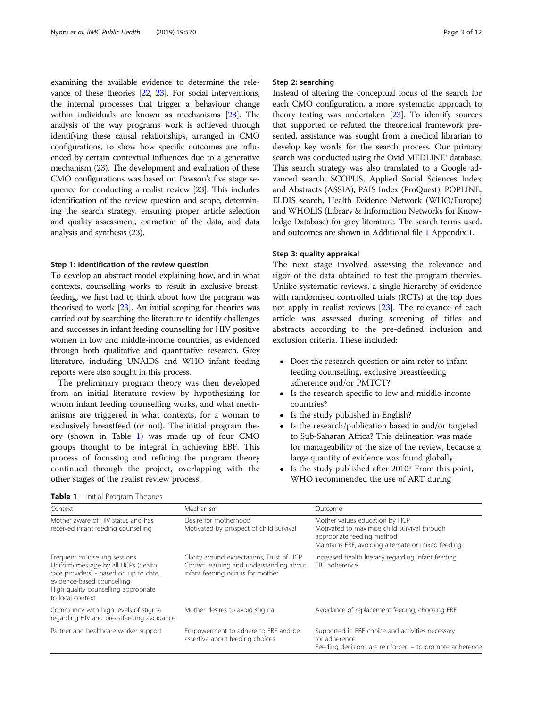examining the available evidence to determine the relevance of these theories [\[22,](#page-10-0) [23](#page-10-0)]. For social interventions, the internal processes that trigger a behaviour change within individuals are known as mechanisms [[23](#page-10-0)]. The analysis of the way programs work is achieved through identifying these causal relationships, arranged in CMO configurations, to show how specific outcomes are influenced by certain contextual influences due to a generative mechanism (23). The development and evaluation of these CMO configurations was based on Pawson's five stage sequence for conducting a realist review [[23](#page-10-0)]. This includes identification of the review question and scope, determining the search strategy, ensuring proper article selection and quality assessment, extraction of the data, and data analysis and synthesis (23).

#### Step 1: identification of the review question

To develop an abstract model explaining how, and in what contexts, counselling works to result in exclusive breastfeeding, we first had to think about how the program was theorised to work [\[23](#page-10-0)]. An initial scoping for theories was carried out by searching the literature to identify challenges and successes in infant feeding counselling for HIV positive women in low and middle-income countries, as evidenced through both qualitative and quantitative research. Grey literature, including UNAIDS and WHO infant feeding reports were also sought in this process.

The preliminary program theory was then developed from an initial literature review by hypothesizing for whom infant feeding counselling works, and what mechanisms are triggered in what contexts, for a woman to exclusively breastfeed (or not). The initial program theory (shown in Table 1) was made up of four CMO groups thought to be integral in achieving EBF. This process of focussing and refining the program theory continued through the project, overlapping with the other stages of the realist review process.

#### Step 2: searching

Instead of altering the conceptual focus of the search for each CMO configuration, a more systematic approach to theory testing was undertaken [[23](#page-10-0)]. To identify sources that supported or refuted the theoretical framework presented, assistance was sought from a medical librarian to develop key words for the search process. Our primary search was conducted using the Ovid MEDLINE<sup>®</sup> database. This search strategy was also translated to a Google advanced search, SCOPUS, Applied Social Sciences Index and Abstracts (ASSIA), PAIS Index (ProQuest), POPLINE, ELDIS search, Health Evidence Network (WHO/Europe) and WHOLIS (Library & Information Networks for Knowledge Database) for grey literature. The search terms used, and outcomes are shown in Additional file [1](#page-9-0) Appendix 1.

#### Step 3: quality appraisal

The next stage involved assessing the relevance and rigor of the data obtained to test the program theories. Unlike systematic reviews, a single hierarchy of evidence with randomised controlled trials (RCTs) at the top does not apply in realist reviews [\[23](#page-10-0)]. The relevance of each article was assessed during screening of titles and abstracts according to the pre-defined inclusion and exclusion criteria. These included:

- Does the research question or aim refer to infant feeding counselling, exclusive breastfeeding adherence and/or PMTCT?
- Is the research specific to low and middle-income countries?
- Is the study published in English?
- Is the research/publication based in and/or targeted to Sub-Saharan Africa? This delineation was made for manageability of the size of the review, because a large quantity of evidence was found globally.
- Is the study published after 2010? From this point, WHO recommended the use of ART during

| <b>Table 1</b> - Initial Program Theories |  |  |
|-------------------------------------------|--|--|
|-------------------------------------------|--|--|

| <b>Table 1</b> – IIIItial Flogialit Theories                                                                                                                                                              |                                                                                                                           |                                                                                                                                                                     |
|-----------------------------------------------------------------------------------------------------------------------------------------------------------------------------------------------------------|---------------------------------------------------------------------------------------------------------------------------|---------------------------------------------------------------------------------------------------------------------------------------------------------------------|
| Context                                                                                                                                                                                                   | Mechanism                                                                                                                 | Outcome                                                                                                                                                             |
| Mother aware of HIV status and has<br>received infant feeding counselling                                                                                                                                 | Desire for motherhood<br>Motivated by prospect of child survival                                                          | Mother values education by HCP<br>Motivated to maximise child survival through<br>appropriate feeding method<br>Maintains EBF, avoiding alternate or mixed feeding. |
| Frequent counselling sessions<br>Uniform message by all HCPs (health<br>care providers) - based on up to date,<br>evidence-based counselling.<br>High quality counselling appropriate<br>to local context | Clarity around expectations, Trust of HCP<br>Correct learning and understanding about<br>infant feeding occurs for mother | Increased health literacy regarding infant feeding<br>EBF adherence                                                                                                 |
| Community with high levels of stigma<br>regarding HIV and breastfeeding avoidance                                                                                                                         | Mother desires to avoid stigma                                                                                            | Avoidance of replacement feeding, choosing EBF                                                                                                                      |
| Partner and healthcare worker support                                                                                                                                                                     | Empowerment to adhere to EBF and be<br>assertive about feeding choices                                                    | Supported in EBF choice and activities necessary<br>for adherence<br>Feeding decisions are reinforced – to promote adherence                                        |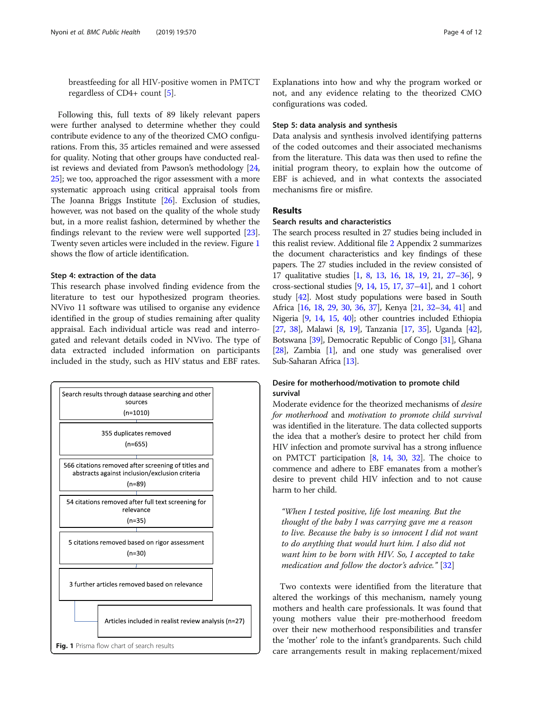breastfeeding for all HIV-positive women in PMTCT regardless of CD4+ count [[5](#page-10-0)].

Following this, full texts of 89 likely relevant papers were further analysed to determine whether they could contribute evidence to any of the theorized CMO configurations. From this, 35 articles remained and were assessed for quality. Noting that other groups have conducted realist reviews and deviated from Pawson's methodology [[24](#page-10-0), [25](#page-10-0)]; we too, approached the rigor assessment with a more systematic approach using critical appraisal tools from The Joanna Briggs Institute [\[26\]](#page-10-0). Exclusion of studies, however, was not based on the quality of the whole study but, in a more realist fashion, determined by whether the findings relevant to the review were well supported [[23](#page-10-0)]. Twenty seven articles were included in the review. Figure 1 shows the flow of article identification.

#### Step 4: extraction of the data

This research phase involved finding evidence from the literature to test our hypothesized program theories. NVivo 11 software was utilised to organise any evidence identified in the group of studies remaining after quality appraisal. Each individual article was read and interrogated and relevant details coded in NVivo. The type of data extracted included information on participants included in the study, such as HIV status and EBF rates.



Explanations into how and why the program worked or not, and any evidence relating to the theorized CMO configurations was coded.

#### Step 5: data analysis and synthesis

Data analysis and synthesis involved identifying patterns of the coded outcomes and their associated mechanisms from the literature. This data was then used to refine the initial program theory, to explain how the outcome of EBF is achieved, and in what contexts the associated mechanisms fire or misfire.

#### Results

#### Search results and characteristics

The search process resulted in 27 studies being included in this realist review. Additional file [2](#page-9-0) Appendix 2 summarizes the document characteristics and key findings of these papers. The 27 studies included in the review consisted of 17 qualitative studies [\[1,](#page-10-0) [8,](#page-10-0) [13,](#page-10-0) [16,](#page-10-0) [18](#page-10-0), [19](#page-10-0), [21](#page-10-0), [27](#page-10-0)–[36](#page-11-0)], 9 cross-sectional studies [\[9](#page-10-0), [14,](#page-10-0) [15,](#page-10-0) [17](#page-10-0), [37](#page-11-0)–[41](#page-11-0)], and 1 cohort study [\[42\]](#page-11-0). Most study populations were based in South Africa [\[16,](#page-10-0) [18](#page-10-0), [29,](#page-10-0) [30,](#page-10-0) [36](#page-11-0), [37\]](#page-11-0), Kenya [[21](#page-10-0), [32](#page-11-0)–[34,](#page-11-0) [41](#page-11-0)] and Nigeria [[9](#page-10-0), [14](#page-10-0), [15,](#page-10-0) [40\]](#page-11-0); other countries included Ethiopia [[27](#page-10-0), [38](#page-11-0)], Malawi [\[8,](#page-10-0) [19\]](#page-10-0), Tanzania [\[17,](#page-10-0) [35\]](#page-11-0), Uganda [\[42](#page-11-0)], Botswana [\[39](#page-11-0)], Democratic Republic of Congo [\[31](#page-11-0)], Ghana [[28](#page-10-0)], Zambia [\[1\]](#page-10-0), and one study was generalised over Sub-Saharan Africa [\[13](#page-10-0)].

#### Desire for motherhood/motivation to promote child survival

Moderate evidence for the theorized mechanisms of desire for motherhood and motivation to promote child survival was identified in the literature. The data collected supports the idea that a mother's desire to protect her child from HIV infection and promote survival has a strong influence on PMTCT participation [\[8,](#page-10-0) [14](#page-10-0), [30,](#page-10-0) [32\]](#page-11-0). The choice to commence and adhere to EBF emanates from a mother's desire to prevent child HIV infection and to not cause harm to her child.

"When I tested positive, life lost meaning. But the thought of the baby I was carrying gave me a reason to live. Because the baby is so innocent I did not want to do anything that would hurt him. I also did not want him to be born with HIV. So, I accepted to take medication and follow the doctor's advice." [\[32\]](#page-11-0)

Two contexts were identified from the literature that altered the workings of this mechanism, namely young mothers and health care professionals. It was found that young mothers value their pre-motherhood freedom over their new motherhood responsibilities and transfer the 'mother' role to the infant's grandparents. Such child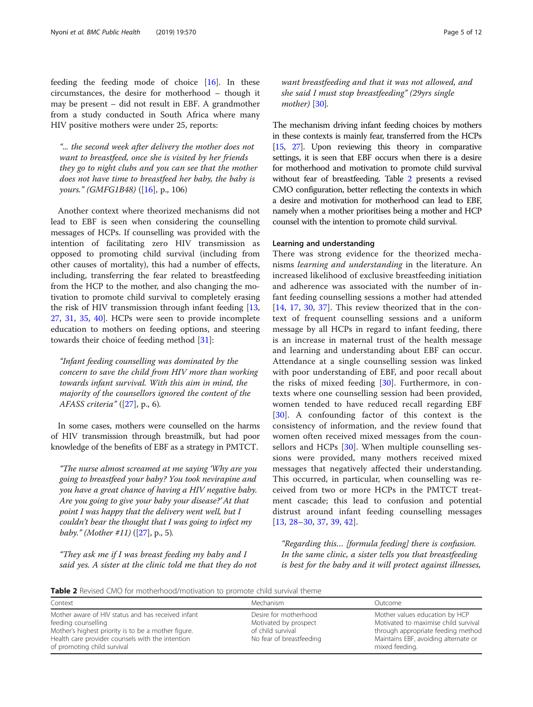<span id="page-4-0"></span>feeding the feeding mode of choice [\[16](#page-10-0)]. In these circumstances, the desire for motherhood – though it may be present – did not result in EBF. A grandmother from a study conducted in South Africa where many HIV positive mothers were under 25, reports:

"... the second week after delivery the mother does not want to breastfeed, once she is visited by her friends they go to night clubs and you can see that the mother does not have time to breastfeed her baby, the baby is yours." (GMFG1B48) ([\[16\]](#page-10-0), p., 106)

Another context where theorized mechanisms did not lead to EBF is seen when considering the counselling messages of HCPs. If counselling was provided with the intention of facilitating zero HIV transmission as opposed to promoting child survival (including from other causes of mortality), this had a number of effects, including, transferring the fear related to breastfeeding from the HCP to the mother, and also changing the motivation to promote child survival to completely erasing the risk of HIV transmission through infant feeding [[13](#page-10-0), [27,](#page-10-0) [31,](#page-11-0) [35,](#page-11-0) [40\]](#page-11-0). HCPs were seen to provide incomplete education to mothers on feeding options, and steering towards their choice of feeding method [[31\]](#page-11-0):

"Infant feeding counselling was dominated by the concern to save the child from HIV more than working towards infant survival. With this aim in mind, the majority of the counsellors ignored the content of the AFASS criteria" ([[27](#page-10-0)], p., 6).

In some cases, mothers were counselled on the harms of HIV transmission through breastmilk, but had poor knowledge of the benefits of EBF as a strategy in PMTCT.

"The nurse almost screamed at me saying 'Why are you going to breastfeed your baby? You took nevirapine and you have a great chance of having a HIV negative baby. Are you going to give your baby your disease?' At that point I was happy that the delivery went well, but I couldn't bear the thought that I was going to infect my baby." (Mother #11)  $([27], p., 5)$  $([27], p., 5)$  $([27], p., 5)$ .

"They ask me if I was breast feeding my baby and I said yes. A sister at the clinic told me that they do not want breastfeeding and that it was not allowed, and she said I must stop breastfeeding" (29yrs single mother) [\[30](#page-10-0)].

The mechanism driving infant feeding choices by mothers in these contexts is mainly fear, transferred from the HCPs [[15](#page-10-0), [27\]](#page-10-0). Upon reviewing this theory in comparative settings, it is seen that EBF occurs when there is a desire for motherhood and motivation to promote child survival without fear of breastfeeding. Table 2 presents a revised CMO configuration, better reflecting the contexts in which a desire and motivation for motherhood can lead to EBF, namely when a mother prioritises being a mother and HCP counsel with the intention to promote child survival.

#### Learning and understanding

There was strong evidence for the theorized mechanisms learning and understanding in the literature. An increased likelihood of exclusive breastfeeding initiation and adherence was associated with the number of infant feeding counselling sessions a mother had attended [[14,](#page-10-0) [17,](#page-10-0) [30,](#page-10-0) [37\]](#page-11-0). This review theorized that in the context of frequent counselling sessions and a uniform message by all HCPs in regard to infant feeding, there is an increase in maternal trust of the health message and learning and understanding about EBF can occur. Attendance at a single counselling session was linked with poor understanding of EBF, and poor recall about the risks of mixed feeding [\[30](#page-10-0)]. Furthermore, in contexts where one counselling session had been provided, women tended to have reduced recall regarding EBF [[30\]](#page-10-0). A confounding factor of this context is the consistency of information, and the review found that women often received mixed messages from the counsellors and HCPs [[30\]](#page-10-0). When multiple counselling sessions were provided, many mothers received mixed messages that negatively affected their understanding. This occurred, in particular, when counselling was received from two or more HCPs in the PMTCT treatment cascade; this lead to confusion and potential distrust around infant feeding counselling messages [[13,](#page-10-0) [28](#page-10-0)–[30](#page-10-0), [37](#page-11-0), [39,](#page-11-0) [42\]](#page-11-0).

"Regarding this… [formula feeding] there is confusion. In the same clinic, a sister tells you that breastfeeding is best for the baby and it will protect against illnesses,

Table 2 Revised CMO for motherhood/motivation to promote child survival theme

| Context                                                                                                                                                                                                             | Mechanism                                                                                       | Outcome                                                                                                                                                                |
|---------------------------------------------------------------------------------------------------------------------------------------------------------------------------------------------------------------------|-------------------------------------------------------------------------------------------------|------------------------------------------------------------------------------------------------------------------------------------------------------------------------|
| Mother aware of HIV status and has received infant<br>feeding counselling<br>Mother's highest priority is to be a mother figure.<br>Health care provider counsels with the intention<br>of promoting child survival | Desire for motherhood<br>Motivated by prospect<br>of child survival<br>No fear of breastfeeding | Mother values education by HCP<br>Motivated to maximise child survival<br>through appropriate feeding method<br>Maintains EBF, avoiding alternate or<br>mixed feeding. |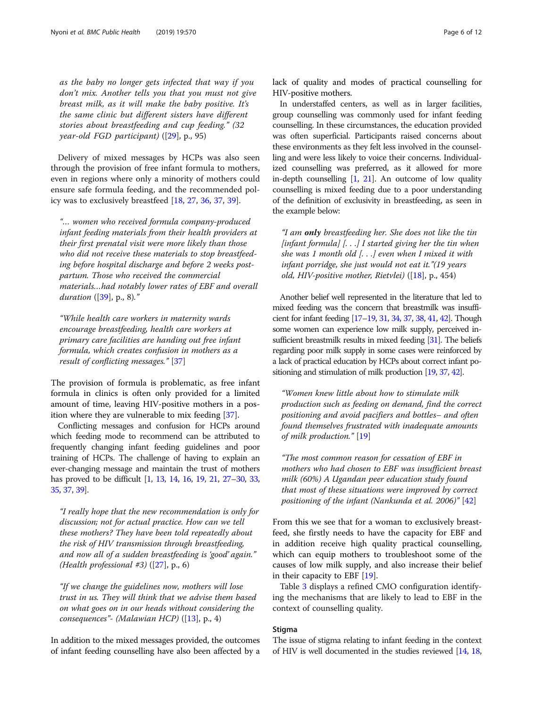as the baby no longer gets infected that way if you don't mix. Another tells you that you must not give breast milk, as it will make the baby positive. It's the same clinic but different sisters have different stories about breastfeeding and cup feeding." (32 year-old FGD participant)  $([29], p., 95)$  $([29], p., 95)$  $([29], p., 95)$ 

Delivery of mixed messages by HCPs was also seen through the provision of free infant formula to mothers, even in regions where only a minority of mothers could ensure safe formula feeding, and the recommended policy was to exclusively breastfeed [\[18](#page-10-0), [27](#page-10-0), [36](#page-11-0), [37,](#page-11-0) [39\]](#page-11-0).

"… women who received formula company-produced infant feeding materials from their health providers at their first prenatal visit were more likely than those who did not receive these materials to stop breastfeeding before hospital discharge and before 2 weeks postpartum. Those who received the commercial materials…had notably lower rates of EBF and overall duration ([\[39](#page-11-0)], p., 8)."

"While health care workers in maternity wards encourage breastfeeding, health care workers at primary care facilities are handing out free infant formula, which creates confusion in mothers as a result of conflicting messages." [[37](#page-11-0)]

The provision of formula is problematic, as free infant formula in clinics is often only provided for a limited amount of time, leaving HIV-positive mothers in a position where they are vulnerable to mix feeding [\[37](#page-11-0)].

Conflicting messages and confusion for HCPs around which feeding mode to recommend can be attributed to frequently changing infant feeding guidelines and poor training of HCPs. The challenge of having to explain an ever-changing message and maintain the trust of mothers has proved to be difficult [\[1,](#page-10-0) [13,](#page-10-0) [14,](#page-10-0) [16,](#page-10-0) [19](#page-10-0), [21](#page-10-0), [27](#page-10-0)–[30](#page-10-0), [33](#page-11-0), [35](#page-11-0), [37](#page-11-0), [39](#page-11-0)].

"I really hope that the new recommendation is only for discussion; not for actual practice. How can we tell these mothers? They have been told repeatedly about the risk of HIV transmission through breastfeeding, and now all of a sudden breastfeeding is 'good' again." (Health professional #3) ([\[27](#page-10-0)], p., 6)

"If we change the guidelines now, mothers will lose trust in us. They will think that we advise them based on what goes on in our heads without considering the consequences" - (Malawian HCP)  $(13)$ , p., 4)

In addition to the mixed messages provided, the outcomes of infant feeding counselling have also been affected by a lack of quality and modes of practical counselling for HIV-positive mothers.

In understaffed centers, as well as in larger facilities, group counselling was commonly used for infant feeding counselling. In these circumstances, the education provided was often superficial. Participants raised concerns about these environments as they felt less involved in the counselling and were less likely to voice their concerns. Individualized counselling was preferred, as it allowed for more in-depth counselling  $[1, 21]$  $[1, 21]$  $[1, 21]$  $[1, 21]$ . An outcome of low quality counselling is mixed feeding due to a poor understanding of the definition of exclusivity in breastfeeding, as seen in the example below:

"I am only breastfeeding her. She does not like the tin [infant formula] [...] I started giving her the tin when she was  $1$  month old  $\lbrack \dots \rbrack$  even when  $I$  mixed it with infant porridge, she just would not eat it."(19 years old, HIV-positive mother, Rietvlei) ([[18](#page-10-0)], p., 454)

Another belief well represented in the literature that led to mixed feeding was the concern that breastmilk was insufficient for infant feeding [\[17](#page-10-0)–[19,](#page-10-0) [31](#page-11-0), [34,](#page-11-0) [37](#page-11-0), [38,](#page-11-0) [41](#page-11-0), [42\]](#page-11-0). Though some women can experience low milk supply, perceived insufficient breastmilk results in mixed feeding [\[31](#page-11-0)]. The beliefs regarding poor milk supply in some cases were reinforced by a lack of practical education by HCPs about correct infant positioning and stimulation of milk production [[19,](#page-10-0) [37](#page-11-0), [42\]](#page-11-0).

"Women knew little about how to stimulate milk production such as feeding on demand, find the correct positioning and avoid pacifiers and bottles– and often found themselves frustrated with inadequate amounts of milk production." [\[19](#page-10-0)]

"The most common reason for cessation of EBF in mothers who had chosen to EBF was insufficient breast milk (60%) A Ugandan peer education study found that most of these situations were improved by correct positioning of the infant (Nankunda et al. 2006)" [[42](#page-11-0)]

From this we see that for a woman to exclusively breastfeed, she firstly needs to have the capacity for EBF and in addition receive high quality practical counselling, which can equip mothers to troubleshoot some of the causes of low milk supply, and also increase their belief in their capacity to EBF [\[19](#page-10-0)].

Table [3](#page-6-0) displays a refined CMO configuration identifying the mechanisms that are likely to lead to EBF in the context of counselling quality.

#### Stigma

The issue of stigma relating to infant feeding in the context of HIV is well documented in the studies reviewed [\[14,](#page-10-0) [18](#page-10-0),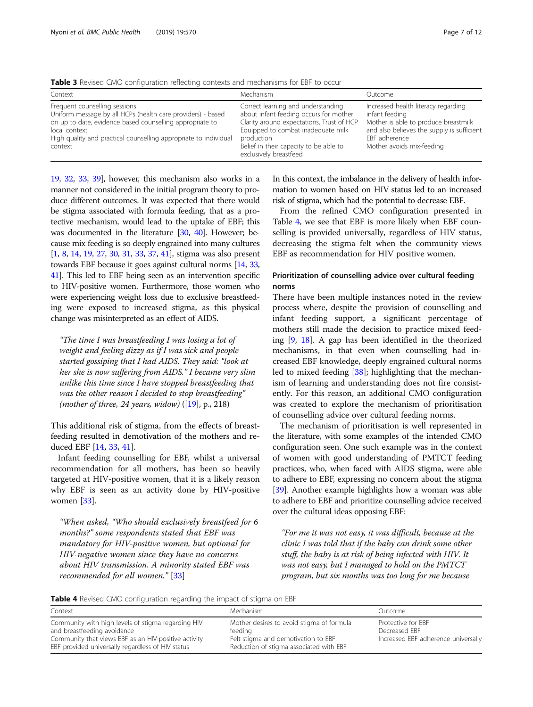<span id="page-6-0"></span>Table 3 Revised CMO configuration reflecting contexts and mechanisms for EBF to occur

| Context                                                                                                                                                                                                                                                  | Mechanism                                                                                                                                                                                                                                         | Outcome                                                                                                                                                                                   |
|----------------------------------------------------------------------------------------------------------------------------------------------------------------------------------------------------------------------------------------------------------|---------------------------------------------------------------------------------------------------------------------------------------------------------------------------------------------------------------------------------------------------|-------------------------------------------------------------------------------------------------------------------------------------------------------------------------------------------|
| Frequent counselling sessions<br>Uniform message by all HCPs (health care providers) - based<br>on up to date, evidence based counselling appropriate to<br>local context<br>High quality and practical counselling appropriate to individual<br>context | Correct learning and understanding<br>about infant feeding occurs for mother<br>Clarity around expectations, Trust of HCP<br>Equipped to combat inadequate milk<br>production<br>Belief in their capacity to be able to<br>exclusively breastfeed | Increased health literacy regarding<br>infant feeding<br>Mother is able to produce breastmilk<br>and also believes the supply is sufficient<br>FBF adherence<br>Mother avoids mix-feeding |

[19](#page-10-0), [32,](#page-11-0) [33](#page-11-0), [39\]](#page-11-0), however, this mechanism also works in a manner not considered in the initial program theory to produce different outcomes. It was expected that there would be stigma associated with formula feeding, that as a protective mechanism, would lead to the uptake of EBF; this was documented in the literature [\[30,](#page-10-0) [40\]](#page-11-0). However; because mix feeding is so deeply engrained into many cultures [[1](#page-10-0), [8](#page-10-0), [14](#page-10-0), [19,](#page-10-0) [27](#page-10-0), [30,](#page-10-0) [31](#page-11-0), [33](#page-11-0), [37,](#page-11-0) [41](#page-11-0)], stigma was also present towards EBF because it goes against cultural norms [[14](#page-10-0), [33](#page-11-0), [41](#page-11-0)]. This led to EBF being seen as an intervention specific to HIV-positive women. Furthermore, those women who were experiencing weight loss due to exclusive breastfeeding were exposed to increased stigma, as this physical change was misinterpreted as an effect of AIDS.

"The time I was breastfeeding I was losing a lot of weight and feeling dizzy as if I was sick and people started gossiping that I had AIDS. They said: "look at her she is now suffering from AIDS." I became very slim unlike this time since I have stopped breastfeeding that was the other reason I decided to stop breastfeeding" (mother of three, 24 years, widow)  $(19)$  $(19)$  $(19)$ , p., 218)

This additional risk of stigma, from the effects of breastfeeding resulted in demotivation of the mothers and reduced EBF [[14,](#page-10-0) [33](#page-11-0), [41](#page-11-0)].

Infant feeding counselling for EBF, whilst a universal recommendation for all mothers, has been so heavily targeted at HIV-positive women, that it is a likely reason why EBF is seen as an activity done by HIV-positive women [[33\]](#page-11-0).

"When asked, "Who should exclusively breastfeed for 6 months?" some respondents stated that EBF was mandatory for HIV-positive women, but optional for HIV-negative women since they have no concerns about HIV transmission. A minority stated EBF was recommended for all women." [[33\]](#page-11-0)

In this context, the imbalance in the delivery of health information to women based on HIV status led to an increased risk of stigma, which had the potential to decrease EBF.

From the refined CMO configuration presented in Table 4, we see that EBF is more likely when EBF counselling is provided universally, regardless of HIV status, decreasing the stigma felt when the community views EBF as recommendation for HIV positive women.

#### Prioritization of counselling advice over cultural feeding norms

There have been multiple instances noted in the review process where, despite the provision of counselling and infant feeding support, a significant percentage of mothers still made the decision to practice mixed feeding [\[9,](#page-10-0) [18](#page-10-0)]. A gap has been identified in the theorized mechanisms, in that even when counselling had increased EBF knowledge, deeply engrained cultural norms led to mixed feeding [\[38](#page-11-0)]; highlighting that the mechanism of learning and understanding does not fire consistently. For this reason, an additional CMO configuration was created to explore the mechanism of prioritisation of counselling advice over cultural feeding norms.

The mechanism of prioritisation is well represented in the literature, with some examples of the intended CMO configuration seen. One such example was in the context of women with good understanding of PMTCT feeding practices, who, when faced with AIDS stigma, were able to adhere to EBF, expressing no concern about the stigma [[39](#page-11-0)]. Another example highlights how a woman was able to adhere to EBF and prioritize counselling advice received over the cultural ideas opposing EBF:

"For me it was not easy, it was difficult, because at the clinic I was told that if the baby can drink some other stuff, the baby is at risk of being infected with HIV. It was not easy, but I managed to hold on the PMTCT program, but six months was too long for me because

Table 4 Revised CMO configuration regarding the impact of stigma on EBF

| Context                                                                                                                                                                                        | Mechanism                                                                                                                              | Outcome                                                                    |
|------------------------------------------------------------------------------------------------------------------------------------------------------------------------------------------------|----------------------------------------------------------------------------------------------------------------------------------------|----------------------------------------------------------------------------|
| Community with high levels of stigma regarding HIV<br>and breastfeeding avoidance<br>Community that views EBF as an HIV-positive activity<br>EBF provided universally regardless of HIV status | Mother desires to avoid stigma of formula<br>feeding<br>Felt stigma and demotivation to EBF<br>Reduction of stigma associated with EBF | Protective for EBF<br>Decreased EBF<br>Increased EBF adherence universally |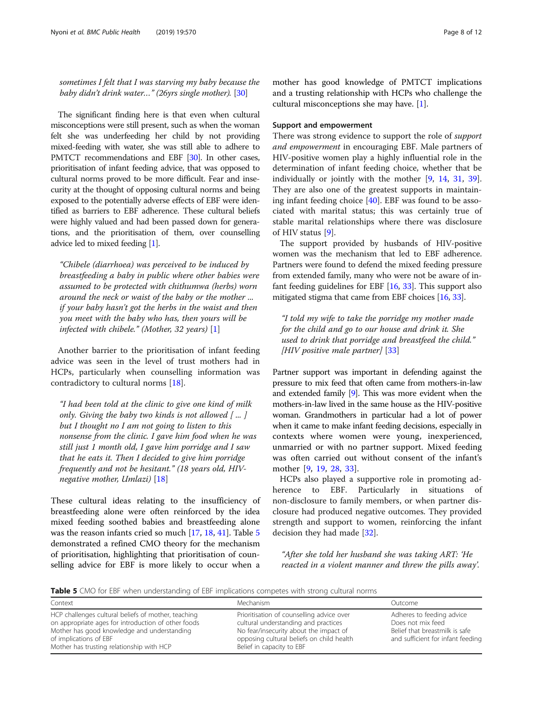sometimes I felt that I was starving my baby because the baby didn't drink water…" (26yrs single mother). [\[30\]](#page-10-0)

The significant finding here is that even when cultural misconceptions were still present, such as when the woman felt she was underfeeding her child by not providing mixed-feeding with water, she was still able to adhere to PMTCT recommendations and EBF [[30](#page-10-0)]. In other cases, prioritisation of infant feeding advice, that was opposed to cultural norms proved to be more difficult. Fear and insecurity at the thought of opposing cultural norms and being exposed to the potentially adverse effects of EBF were identified as barriers to EBF adherence. These cultural beliefs were highly valued and had been passed down for generations, and the prioritisation of them, over counselling advice led to mixed feeding [\[1\]](#page-10-0).

"Chibele (diarrhoea) was perceived to be induced by breastfeeding a baby in public where other babies were assumed to be protected with chithumwa (herbs) worn around the neck or waist of the baby or the mother ... if your baby hasn't got the herbs in the waist and then you meet with the baby who has, then yours will be infected with chibele." (Mother, 32 years)  $[1]$  $[1]$ 

Another barrier to the prioritisation of infant feeding advice was seen in the level of trust mothers had in HCPs, particularly when counselling information was contradictory to cultural norms [\[18\]](#page-10-0).

"I had been told at the clinic to give one kind of milk only. Giving the baby two kinds is not allowed  $[$  ...  $]$ but I thought no I am not going to listen to this nonsense from the clinic. I gave him food when he was still just 1 month old, I gave him porridge and I saw that he eats it. Then I decided to give him porridge frequently and not be hesitant." (18 years old, HIVnegative mother, Umlazi) [[18\]](#page-10-0)

These cultural ideas relating to the insufficiency of breastfeeding alone were often reinforced by the idea mixed feeding soothed babies and breastfeeding alone was the reason infants cried so much [[17,](#page-10-0) [18](#page-10-0), [41\]](#page-11-0). Table 5 demonstrated a refined CMO theory for the mechanism of prioritisation, highlighting that prioritisation of counselling advice for EBF is more likely to occur when a

mother has good knowledge of PMTCT implications and a trusting relationship with HCPs who challenge the cultural misconceptions she may have. [[1\]](#page-10-0).

#### Support and empowerment

There was strong evidence to support the role of support and empowerment in encouraging EBF. Male partners of HIV-positive women play a highly influential role in the determination of infant feeding choice, whether that be individually or jointly with the mother [\[9](#page-10-0), [14,](#page-10-0) [31,](#page-11-0) [39](#page-11-0)]. They are also one of the greatest supports in maintaining infant feeding choice [[40\]](#page-11-0). EBF was found to be associated with marital status; this was certainly true of stable marital relationships where there was disclosure of HIV status [\[9](#page-10-0)].

The support provided by husbands of HIV-positive women was the mechanism that led to EBF adherence. Partners were found to defend the mixed feeding pressure from extended family, many who were not be aware of infant feeding guidelines for EBF [\[16](#page-10-0), [33\]](#page-11-0). This support also mitigated stigma that came from EBF choices [[16](#page-10-0), [33\]](#page-11-0).

"I told my wife to take the porridge my mother made for the child and go to our house and drink it. She used to drink that porridge and breastfeed the child."  $[HIV$  positive male partner $[33]$  $[33]$ 

Partner support was important in defending against the pressure to mix feed that often came from mothers-in-law and extended family [\[9](#page-10-0)]. This was more evident when the mothers-in-law lived in the same house as the HIV-positive woman. Grandmothers in particular had a lot of power when it came to make infant feeding decisions, especially in contexts where women were young, inexperienced, unmarried or with no partner support. Mixed feeding was often carried out without consent of the infant's mother [\[9](#page-10-0), [19](#page-10-0), [28,](#page-10-0) [33\]](#page-11-0).

HCPs also played a supportive role in promoting adherence to EBF. Particularly in situations non-disclosure to family members, or when partner disclosure had produced negative outcomes. They provided strength and support to women, reinforcing the infant decision they had made [[32](#page-11-0)].

"After she told her husband she was taking ART: 'He reacted in a violent manner and threw the pills away'.

**Table 5** CMO for EBF when understanding of EBF implications competes with strong cultural norms

| Context                                                                                                                                                                                                                          | Mechanism                                                                                                                                                                                             | Outcome                                                                                                               |
|----------------------------------------------------------------------------------------------------------------------------------------------------------------------------------------------------------------------------------|-------------------------------------------------------------------------------------------------------------------------------------------------------------------------------------------------------|-----------------------------------------------------------------------------------------------------------------------|
| HCP challenges cultural beliefs of mother, teaching<br>on appropriate ages for introduction of other foods<br>Mother has good knowledge and understanding<br>of implications of EBF<br>Mother has trusting relationship with HCP | Prioritisation of counselling advice over<br>cultural understanding and practices<br>No fear/insecurity about the impact of<br>opposing cultural beliefs on child health<br>Belief in capacity to EBF | Adheres to feeding advice<br>Does not mix feed<br>Belief that breastmilk is safe<br>and sufficient for infant feeding |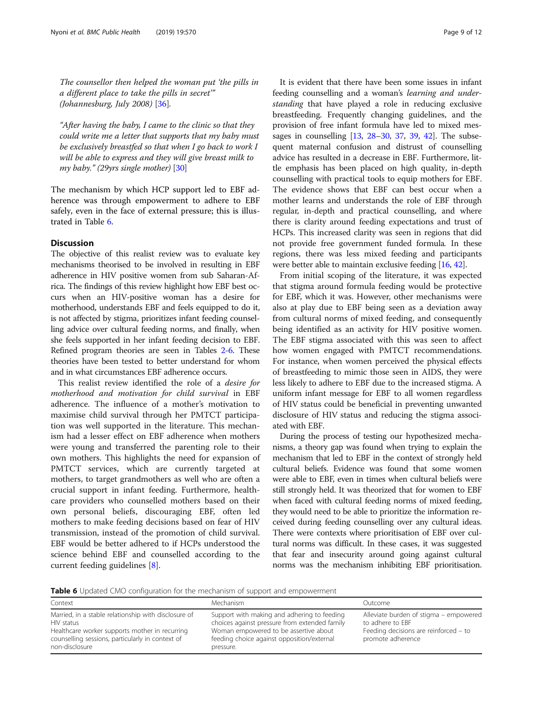The counsellor then helped the woman put 'the pills in a different place to take the pills in secret'" (Johannesburg, July 2008) [\[36](#page-11-0)].

"After having the baby, I came to the clinic so that they could write me a letter that supports that my baby must be exclusively breastfed so that when I go back to work I will be able to express and they will give breast milk to my baby." (29yrs single mother) [\[30](#page-10-0)]

The mechanism by which HCP support led to EBF adherence was through empowerment to adhere to EBF safely, even in the face of external pressure; this is illustrated in Table 6.

#### **Discussion**

The objective of this realist review was to evaluate key mechanisms theorised to be involved in resulting in EBF adherence in HIV positive women from sub Saharan-Africa. The findings of this review highlight how EBF best occurs when an HIV-positive woman has a desire for motherhood, understands EBF and feels equipped to do it, is not affected by stigma, prioritizes infant feeding counselling advice over cultural feeding norms, and finally, when she feels supported in her infant feeding decision to EBF. Refined program theories are seen in Tables [2-](#page-4-0)6. These theories have been tested to better understand for whom and in what circumstances EBF adherence occurs.

This realist review identified the role of a *desire for* motherhood and motivation for child survival in EBF adherence. The influence of a mother's motivation to maximise child survival through her PMTCT participation was well supported in the literature. This mechanism had a lesser effect on EBF adherence when mothers were young and transferred the parenting role to their own mothers. This highlights the need for expansion of PMTCT services, which are currently targeted at mothers, to target grandmothers as well who are often a crucial support in infant feeding. Furthermore, healthcare providers who counselled mothers based on their own personal beliefs, discouraging EBF, often led mothers to make feeding decisions based on fear of HIV transmission, instead of the promotion of child survival. EBF would be better adhered to if HCPs understood the science behind EBF and counselled according to the current feeding guidelines [\[8](#page-10-0)].

It is evident that there have been some issues in infant feeding counselling and a woman's learning and understanding that have played a role in reducing exclusive breastfeeding. Frequently changing guidelines, and the provision of free infant formula have led to mixed messages in counselling [\[13,](#page-10-0) [28](#page-10-0)–[30](#page-10-0), [37](#page-11-0), [39](#page-11-0), [42](#page-11-0)]. The subsequent maternal confusion and distrust of counselling advice has resulted in a decrease in EBF. Furthermore, little emphasis has been placed on high quality, in-depth counselling with practical tools to equip mothers for EBF. The evidence shows that EBF can best occur when a mother learns and understands the role of EBF through regular, in-depth and practical counselling, and where there is clarity around feeding expectations and trust of HCPs. This increased clarity was seen in regions that did not provide free government funded formula. In these regions, there was less mixed feeding and participants were better able to maintain exclusive feeding [\[16,](#page-10-0) [42\]](#page-11-0).

From initial scoping of the literature, it was expected that stigma around formula feeding would be protective for EBF, which it was. However, other mechanisms were also at play due to EBF being seen as a deviation away from cultural norms of mixed feeding, and consequently being identified as an activity for HIV positive women. The EBF stigma associated with this was seen to affect how women engaged with PMTCT recommendations. For instance, when women perceived the physical effects of breastfeeding to mimic those seen in AIDS, they were less likely to adhere to EBF due to the increased stigma. A uniform infant message for EBF to all women regardless of HIV status could be beneficial in preventing unwanted disclosure of HIV status and reducing the stigma associated with EBF.

During the process of testing our hypothesized mechanisms, a theory gap was found when trying to explain the mechanism that led to EBF in the context of strongly held cultural beliefs. Evidence was found that some women were able to EBF, even in times when cultural beliefs were still strongly held. It was theorized that for women to EBF when faced with cultural feeding norms of mixed feeding, they would need to be able to prioritize the information received during feeding counselling over any cultural ideas. There were contexts where prioritisation of EBF over cultural norms was difficult. In these cases, it was suggested that fear and insecurity around going against cultural norms was the mechanism inhibiting EBF prioritisation.

**Table 6** Updated CMO configuration for the mechanism of support and empowerment

| Context                                                                                                                                                                                    | Mechanism                                                                                                                                                                                        | Outcome                                                                                                                  |
|--------------------------------------------------------------------------------------------------------------------------------------------------------------------------------------------|--------------------------------------------------------------------------------------------------------------------------------------------------------------------------------------------------|--------------------------------------------------------------------------------------------------------------------------|
| Married, in a stable relationship with disclosure of<br>HIV status<br>Healthcare worker supports mother in recurring<br>counselling sessions, particularly in context of<br>non-disclosure | Support with making and adhering to feeding<br>choices against pressure from extended family<br>Woman empowered to be assertive about<br>feeding choice against opposition/external<br>pressure. | Alleviate burden of stigma - empowered<br>to adhere to FBF<br>Feeding decisions are reinforced – to<br>promote adherence |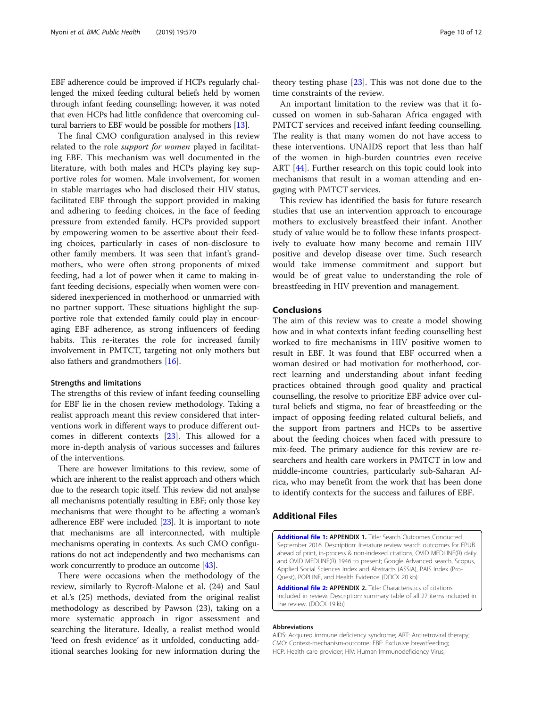<span id="page-9-0"></span>EBF adherence could be improved if HCPs regularly challenged the mixed feeding cultural beliefs held by women through infant feeding counselling; however, it was noted that even HCPs had little confidence that overcoming cultural barriers to EBF would be possible for mothers [\[13\]](#page-10-0).

The final CMO configuration analysed in this review related to the role *support for women* played in facilitating EBF. This mechanism was well documented in the literature, with both males and HCPs playing key supportive roles for women. Male involvement, for women in stable marriages who had disclosed their HIV status, facilitated EBF through the support provided in making and adhering to feeding choices, in the face of feeding pressure from extended family. HCPs provided support by empowering women to be assertive about their feeding choices, particularly in cases of non-disclosure to other family members. It was seen that infant's grandmothers, who were often strong proponents of mixed feeding, had a lot of power when it came to making infant feeding decisions, especially when women were considered inexperienced in motherhood or unmarried with no partner support. These situations highlight the supportive role that extended family could play in encouraging EBF adherence, as strong influencers of feeding habits. This re-iterates the role for increased family involvement in PMTCT, targeting not only mothers but also fathers and grandmothers [\[16](#page-10-0)].

#### Strengths and limitations

The strengths of this review of infant feeding counselling for EBF lie in the chosen review methodology. Taking a realist approach meant this review considered that interventions work in different ways to produce different outcomes in different contexts [\[23](#page-10-0)]. This allowed for a more in-depth analysis of various successes and failures of the interventions.

There are however limitations to this review, some of which are inherent to the realist approach and others which due to the research topic itself. This review did not analyse all mechanisms potentially resulting in EBF; only those key mechanisms that were thought to be affecting a woman's adherence EBF were included [[23](#page-10-0)]. It is important to note that mechanisms are all interconnected, with multiple mechanisms operating in contexts. As such CMO configurations do not act independently and two mechanisms can work concurrently to produce an outcome [[43](#page-11-0)].

There were occasions when the methodology of the review, similarly to Rycroft-Malone et al. (24) and Saul et al.'s (25) methods, deviated from the original realist methodology as described by Pawson (23), taking on a more systematic approach in rigor assessment and searching the literature. Ideally, a realist method would 'feed on fresh evidence' as it unfolded, conducting additional searches looking for new information during the theory testing phase  $[23]$ . This was not done due to the time constraints of the review.

An important limitation to the review was that it focussed on women in sub-Saharan Africa engaged with PMTCT services and received infant feeding counselling. The reality is that many women do not have access to these interventions. UNAIDS report that less than half of the women in high-burden countries even receive ART [\[44](#page-11-0)]. Further research on this topic could look into mechanisms that result in a woman attending and engaging with PMTCT services.

This review has identified the basis for future research studies that use an intervention approach to encourage mothers to exclusively breastfeed their infant. Another study of value would be to follow these infants prospectively to evaluate how many become and remain HIV positive and develop disease over time. Such research would take immense commitment and support but would be of great value to understanding the role of breastfeeding in HIV prevention and management.

#### Conclusions

The aim of this review was to create a model showing how and in what contexts infant feeding counselling best worked to fire mechanisms in HIV positive women to result in EBF. It was found that EBF occurred when a woman desired or had motivation for motherhood, correct learning and understanding about infant feeding practices obtained through good quality and practical counselling, the resolve to prioritize EBF advice over cultural beliefs and stigma, no fear of breastfeeding or the impact of opposing feeding related cultural beliefs, and the support from partners and HCPs to be assertive about the feeding choices when faced with pressure to mix-feed. The primary audience for this review are researchers and health care workers in PMTCT in low and middle-income countries, particularly sub-Saharan Africa, who may benefit from the work that has been done to identify contexts for the success and failures of EBF.

### Additional Files

[Additional file 1:](https://doi.org/10.1186/s12889-019-6949-0) APPENDIX 1. Title: Search Outcomes Conducted September 2016. Description: literature review search outcomes for EPUB ahead of print, in-process & non-indexed citations, OVID MEDLINE(R) daily and OVID MEDLINE(R) 1946 to present; Google Advanced search, Scopus, Applied Social Sciences Index and Abstracts (ASSIA), PAIS Index (Pro-Quest), POPLINE, and Health Evidence (DOCX 20 kb)

[Additional file 2:](https://doi.org/10.1186/s12889-019-6949-0) APPENDIX 2. Title: Characteristics of citations included in review. Description: summary table of all 27 items included in the review. (DOCX 19 kb)

#### Abbreviations

AIDS: Acquired immune deficiency syndrome; ART: Antiretroviral therapy; CMO: Context-mechanism-outcome; EBF: Exclusive breastfeeding; HCP: Health care provider; HIV: Human Immunodeficiency Virus;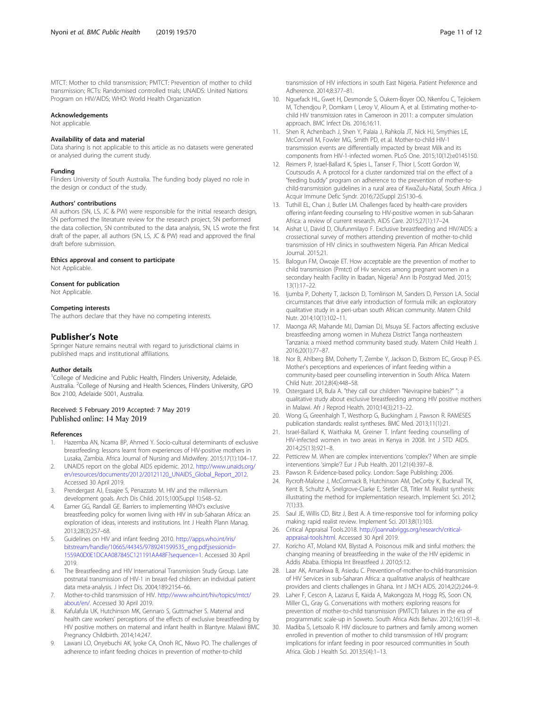<span id="page-10-0"></span>MTCT: Mother to child transmission; PMTCT: Prevention of mother to child transmission; RCTs: Randomised controlled trials; UNAIDS: United Nations Program on HIV/AIDS; WHO: World Health Organization

#### Acknowledgements

Not applicable.

#### Availability of data and material

Data sharing is not applicable to this article as no datasets were generated or analysed during the current study.

#### Funding

Flinders University of South Australia. The funding body played no role in the design or conduct of the study.

#### Authors' contributions

All authors (SN, LS, JC & PW) were responsible for the initial research design, SN performed the literature review for the research project, SN performed the data collection, SN contributed to the data analysis, SN, LS wrote the first draft of the paper, all authors (SN, LS, JC & PW) read and approved the final draft before submission.

#### Ethics approval and consent to participate

Not Applicable.

#### Consent for publication

Not Applicable.

#### Competing interests

The authors declare that they have no competing interests.

#### Publisher's Note

Springer Nature remains neutral with regard to jurisdictional claims in published maps and institutional affiliations.

#### Author details

<sup>1</sup>College of Medicine and Public Health, Flinders University, Adelaide, Australia. <sup>2</sup>College of Nursing and Health Sciences, Flinders University, GPO Box 2100, Adelaide 5001, Australia.

#### Received: 5 February 2019 Accepted: 7 May 2019 Published online: 14 May 2019

#### References

- 1. Hazemba AN, Ncama BP, Ahmed Y. Socio-cultural determinants of exclusive breastfeeding: lessons learnt from experiences of HIV-positive mothers in Lusaka, Zambia. Africa Journal of Nursing and Midwifery. 2015;17(1):104–17.
- UNAIDS report on the global AIDS epidemic. 2012. [http://www.unaids.org/](http://www.unaids.org/en/resources/documents/2012/20121120_UNAIDS_Global_Report_2012) [en/resources/documents/2012/20121120\\_UNAIDS\\_Global\\_Report\\_2012.](http://www.unaids.org/en/resources/documents/2012/20121120_UNAIDS_Global_Report_2012) Accessed 30 April 2019.
- 3. Prendergast AJ, Essajee S, Penazzato M. HIV and the millennium development goals. Arch Dis Child. 2015;100(Suppl 1):S48–52.
- 4. Eamer GG, Randall GE. Barriers to implementing WHO's exclusive breastfeeding policy for women living with HIV in sub-Saharan Africa: an exploration of ideas, interests and institutions. Int J Health Plann Manag. 2013;28(3):257–68.
- 5. Guidelines on HIV and infant feeding 2010. [http://apps.who.int/iris/](http://apps.who.int/iris/bitstream/handle/10665/44345/9789241599535_eng.pdf;jsessionid=1559A0D0E1DCAA087845C121191AA48F?sequence=1) [bitstream/handle/10665/44345/9789241599535\\_eng.pdf;jsessionid=](http://apps.who.int/iris/bitstream/handle/10665/44345/9789241599535_eng.pdf;jsessionid=1559A0D0E1DCAA087845C121191AA48F?sequence=1) [1559A0D0E1DCAA087845C121191AA48F?sequence=1](http://apps.who.int/iris/bitstream/handle/10665/44345/9789241599535_eng.pdf;jsessionid=1559A0D0E1DCAA087845C121191AA48F?sequence=1). Accessed 30 April 2019.
- 6. The Breastfeeding and HIV International Transmission Study Group. Late postnatal transmission of HIV-1 in breast-fed children: an individual patient data meta-analysis. J Infect Dis. 2004;189:2154–66.
- 7. Mother-to-child transmission of HIV. [http://www.who.int/hiv/topics/mtct/](http://www.who.int/hiv/topics/mtct/about/en/) [about/en/](http://www.who.int/hiv/topics/mtct/about/en/). Accessed 30 April 2019.
- 8. Kafulafula UK, Hutchinson MK, Gennaro S, Guttmacher S. Maternal and health care workers' perceptions of the effects of exclusive breastfeeding by HIV positive mothers on maternal and infant health in Blantyre. Malawi BMC Pregnancy Childbirth. 2014;14:247.
- Lawani LO, Onyebuchi AK, Iyoke CA, Onoh RC, Nkwo PO. The challenges of adherence to infant feeding choices in prevention of mother-to-child

transmission of HIV infections in south East Nigeria. Patient Preference and Adherence. 2014;8:377–81.

- 10. Nguefack HL, Gwet H, Desmonde S, Oukem-Boyer OO, Nkenfou C, Tejiokem M, Tchendjou P, Domkam I, Leroy V, Alioum A, et al. Estimating mother-tochild HIV transmission rates in Cameroon in 2011: a computer simulation approach. BMC Infect Dis. 2016;16:11.
- 11. Shen R, Achenbach J, Shen Y, Palaia J, Rahkola JT, Nick HJ, Smythies LE, McConnell M, Fowler MG, Smith PD, et al. Mother-to-child HIV-1 transmission events are differentially impacted by breast Milk and its components from HIV-1-infected women. PLoS One. 2015;10(12):e0145150.
- 12. Reimers P, Israel-Ballard K, Spies L, Tanser F, Thior I, Scott Gordon W, Coutsoudis A. A protocol for a cluster randomized trial on the effect of a "feeding buddy" program on adherence to the prevention of mother-tochild-transmission guidelines in a rural area of KwaZulu-Natal, South Africa. J Acquir Immune Defic Syndr. 2016;72(Suppl 2):S130–6.
- 13. Tuthill EL, Chan J, Butler LM. Challenges faced by health-care providers offering infant-feeding counseling to HIV-positive women in sub-Saharan Africa: a review of current research. AIDS Care. 2015;27(1):17–24.
- 14. Aishat U, David D, Olufunmilayo F. Exclusive breastfeeding and HIV/AIDS: a crossectional survey of mothers attending prevention of mother-to-child transmission of HIV clinics in southwestern Nigeria. Pan African Medical Journal. 2015;21.
- 15. Balogun FM, Owoaje ET. How acceptable are the prevention of mother to child transmission (Pmtct) of Hiv services among pregnant women in a secondary health Facility in Ibadan, Nigeria? Ann Ib Postgrad Med. 2015; 13(1):17–22.
- 16. Ijumba P, Doherty T, Jackson D, Tomlinson M, Sanders D, Persson LA. Social circumstances that drive early introduction of formula milk: an exploratory qualitative study in a peri-urban south African community. Matern Child Nutr. 2014;10(1):102–11.
- 17. Maonga AR, Mahande MJ, Damian DJ, Msuya SE. Factors affecting exclusive breastfeeding among women in Muheza District Tanga northeastern Tanzania: a mixed method community based study. Matern Child Health J. 2016;20(1):77–87.
- 18. Nor B, Ahlberg BM, Doherty T, Zembe Y, Jackson D, Ekstrom EC, Group P-ES. Mother's perceptions and experiences of infant feeding within a community-based peer counselling intervention in South Africa. Matern Child Nutr. 2012;8(4):448–58.
- 19. Ostergaard LR, Bula A. "they call our children "Nevirapine babies?" ": a qualitative study about exclusive breastfeeding among HIV positive mothers in Malawi. Afr J Reprod Health. 2010;14(3):213–22.
- 20. Wong G, Greenhalgh T, Westhorp G, Buckingham J, Pawson R. RAMESES publication standards: realist syntheses. BMC Med. 2013;11(1):21.
- 21. Israel-Ballard K, Waithaka M, Greiner T. Infant feeding counselling of HIV-infected women in two areas in Kenya in 2008. Int J STD AIDS. 2014;25(13):921–8.
- 22. Petticrew M. When are complex interventions 'complex'? When are simple interventions 'simple'? Eur J Pub Health. 2011;21(4):397–8.
- 23. Pawson R. Evidence-based policy. London: Sage Publishing; 2006.
- 24. Rycroft-Malone J, McCormack B, Hutchinson AM, DeCorby K, Bucknall TK, Kent B, Schultz A, Snelgrove-Clarke E, Stetler CB, Titler M. Realist synthesis: illustrating the method for implementation research. Implement Sci. 2012; 7(1):33.
- 25. Saul JE, Willis CD, Bitz J, Best A. A time-responsive tool for informing policy making: rapid realist review. Implement Sci. 2013;8(1):103.
- 26. Critical Appraisal Tools.2018. [http://joannabriggs.org/research/critical](http://joannabriggs.org/research/critical-appraisal-tools.html)[appraisal-tools.html.](http://joannabriggs.org/research/critical-appraisal-tools.html) Accessed 30 April 2019.
- 27. Koricho AT, Moland KM, Blystad A. Poisonous milk and sinful mothers: the changing meaning of breastfeeding in the wake of the HIV epidemic in Addis Ababa. Ethiopia Int Breastfeed J. 2010;5:12.
- 28. Laar AK, Amankwa B, Asiedu C. Prevention-of-mother-to-child-transmission of HIV Services in sub-Saharan Africa: a qualitative analysis of healthcare providers and clients challenges in Ghana. Int J MCH AIDS. 2014;2(2):244–9.
- 29. Laher F, Cescon A, Lazarus E, Kaida A, Makongoza M, Hogg RS, Soon CN, Miller CL, Gray G. Conversations with mothers: exploring reasons for prevention of mother-to-child transmission (PMTCT) failures in the era of programmatic scale-up in Soweto. South Africa Aids Behav. 2012;16(1):91–8.
- 30. Madiba S, Letsoalo R. HIV disclosure to partners and family among women enrolled in prevention of mother to child transmission of HIV program: implications for infant feeding in poor resourced communities in South Africa. Glob J Health Sci. 2013;5(4):1–13.